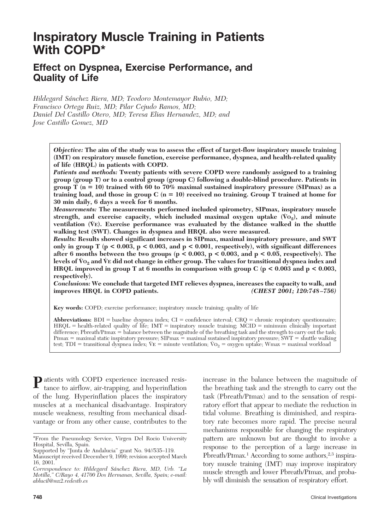# **Inspiratory Muscle Training in Patients With COPD\***

# **Effect on Dyspnea, Exercise Performance, and Quality of Life**

*Hildegard Sánchez Riera, MD; Teodoro Montemayor Rubio, MD; Francisco Ortega Ruiz, MD; Pilar Cejudo Ramos, MD; Daniel Del Castillo Otero, MD; Teresa Elias Hernandez, MD; and Jose Castillo Gomez, MD*

> *Objective:* **The aim of the study was to assess the effect of target-flow inspiratory muscle training (IMT) on respiratory muscle function, exercise performance, dyspnea, and health-related quality of life (HRQL) in patients with COPD.**

> *Patients and methods:* **Twenty patients with severe COPD were randomly assigned to a training group (group T) or to a control group (group C) following a double-blind procedure. Patients in group T (n 10) trained with 60 to 70% maximal sustained inspiratory pressure (SIPmax) as a training load, and those in group C (n 10) received no training. Group T trained at home for 30 min daily, 6 days a week for 6 months.**

> *Measurements:* **The measurements performed included spirometry, SIPmax, inspiratory muscle** strength, and exercise capacity, which included maximal oxygen uptake  $(\bar{V}o_2)$ , and minute **ventilation (V˙ E). Exercise performance was evaluated by the distance walked in the shuttle walking test (SWT). Changes in dyspnea and HRQL also were measured.**

> *Results:* **Results showed significant increases in SIPmax, maximal inspiratory pressure, and SWT only in group T (p < 0.003, p < 0.003, and p < 0.001, respectively), with significant differences after 6 months between the two groups (p < 0.003, p < 0.003, and p < 0.05, respectively). The levels of V˙ O2 and V˙ <sup>E</sup> did not change in either group. The values for transitional dyspnea index and HRQL improved in group T at 6 months in comparison with group C (p < 0.003 and p < 0.003, respectively).**

> *Conclusions:* **We conclude that targeted IMT relieves dyspnea, increases the capacity to walk, and improves HRQL in COPD patients.** *(CHEST 2001; 120:748–756)*

**Key words:** COPD; exercise performance; inspiratory muscle training; quality of life

**Abbreviations:**  $BDI =$  baseline dyspnea index;  $CI =$  confidence interval;  $CRQ =$  chronic respiratory questionnaire;  $H RQL =$  health-related quality of life;  $IMT =$  inspiratory muscle training;  $MCID =$  minimum clinically important difference: Pbreath/Pimax = balance between the magnitude of the breathing task and the strength to carry out the task; PImax  $=$  maximal static inspiratory pressure; SIPmax  $=$  maximal sustained inspiratory pressure; SWT  $=$  shuttle walking test; TDI = transitional dyspnea index; V $E =$  minute ventilation; V $O<sub>2</sub> =$  oxygen uptake; Wmax = maximal workload

**P**atients with COPD experience increased resistance to airflow, air-trapping, and hyperinflation of the lung. Hyperinflation places the inspiratory muscles at a mechanical disadvantage. Inspiratory muscle weakness, resulting from mechanical disadvantage or from any other cause, contributes to the

increase in the balance between the magnitude of the breathing task and the strength to carry out the task (Pbreath/Pimax) and to the sensation of respiratory effort that appear to mediate the reduction in tidal volume. Breathing is diminished, and respiratory rate becomes more rapid. The precise neural mechanisms responsible for changing the respiratory pattern are unknown but are thought to involve a response to the perception of a large increase in Pbreath/PImax.<sup>1</sup> According to some authors,<sup>2,3</sup> inspiratory muscle training (IMT) may improve inspiratory muscle strength and lower Pbreath/Pimax, and probably will diminish the sensation of respiratory effort.

<sup>\*</sup>From the Pneumology Service, Virgen Del Rocio University Hospital, Sevilla, Spain.

Supported by "Junta de Andalucia" grant No. 94//535–119.

Manuscript received December 9, 1999; revision accepted March 16, 2001.

*Correspondence to: Hildegard Sa´nchez Riera, MD, Urb. "La Motilla," C/Rayo 4, 41700 Dos Hermanas, Sevilla, Spain; e-mail: ablucil@mx2.redestb.es*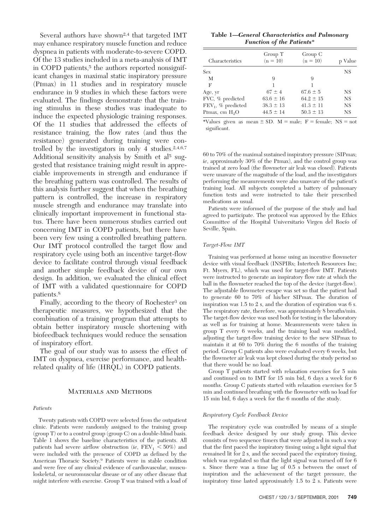Several authors have shown<sup>2,4</sup> that targeted IMT may enhance respiratory muscle function and reduce dyspnea in patients with moderate-to-severe COPD. Of the 13 studies included in a meta-analysis of IMT in COPD patients,<sup>5</sup> the authors reported nonsignificant changes in maximal static inspiratory pressure (Pimax) in 11 studies and in respiratory muscle endurance in 9 studies in which these factors were evaluated. The findings demonstrate that the training stimulus in these studies was inadequate to induce the expected physiologic training responses. Of the 11 studies that addressed the effects of resistance training, the flow rates (and thus the resistance) generated during training were controlled by the investigators in only 4 studies. $2,4,6,7$ Additional sensitivity analysis by Smith et al<sup>5</sup> suggested that resistance training might result in appreciable improvements in strength and endurance if the breathing pattern was controlled. The results of this analysis further suggest that when the breathing pattern is controlled, the increase in respiratory muscle strength and endurance may translate into clinically important improvement in functional status. There have been numerous studies carried out concerning IMT in COPD patients, but there have been very few using a controlled breathing pattern. Our IMT protocol controlled the target flow and respiratory cycle using both an incentive target-flow device to facilitate control through visual feedback and another simple feedback device of our own design. In addition, we evaluated the clinical effect of IMT with a validated questionnaire for COPD patients.8

Finally, according to the theory of Rochester3 on therapeutic measures, we hypothesized that the combination of a training program that attempts to obtain better inspiratory muscle shortening with biofeedback techniques would reduce the sensation of inspiratory effort.

The goal of our study was to assess the effect of IMT on dyspnea, exercise performance, and healthrelated quality of life (HRQL) in COPD patients.

# Materials and Methods

#### *Patients*

Twenty patients with COPD were selected from the outpatient clinic. Patients were randomly assigned to the training group (group T) or to a control group (group C) on a double-blind basis. Table 1 shows the baseline characteristics of the patients. All patients had severe airflow obstruction (*ie*,  $\text{FEV}_1 < 50\%$ ) and were included with the presence of COPD as defined by the American Thoracic Society.9 Patients were in stable condition and were free of any clinical evidence of cardiovascular, musculoskeletal, or neuromuscular disease or of any other disease that might interfere with exercise. Group T was trained with a load of

| Table 1—General Characteristics and Pulmonary |                                  |  |  |
|-----------------------------------------------|----------------------------------|--|--|
|                                               | <b>Function of the Patients*</b> |  |  |

| Characteristics       | Group T<br>$(n = 10)$ | Group C<br>$(n = 10)$ | p Value   |
|-----------------------|-----------------------|-----------------------|-----------|
| Sex                   |                       |                       | <b>NS</b> |
| М                     | 9                     | 9                     |           |
| F                     | 1                     |                       |           |
| Age, yr               | $67 \pm 4$            | $67.6 \pm 5$          | <b>NS</b> |
| FVC, % predicted      | $63.6 \pm 16$         | $64.2 \pm 15$         | <b>NS</b> |
| $FEV_1$ , % predicted | $38.3 \pm 13$         | $41.3 \pm 11$         | <b>NS</b> |
| PImax, cm $H_2O$      | $44.5 \pm 14$         | $50.3 \pm 13$         | <b>NS</b> |

\*Values given as mean  $\pm$  SD. M = male; F = female; NS = not significant.

60 to 70% of the maximal sustained inspiratory pressure (SIPmax; *ie*, approximately 30% of the Pimax), and the control group was trained at zero load (the flowmeter air leak was closed). Patients were unaware of the magnitude of the load, and the investigators performing the measurements were also unaware of the patient's training load. All subjects completed a battery of pulmonary function tests and were instructed to take their prescribed medications as usual.

Patients were informed of the purpose of the study and had agreed to participate. The protocol was approved by the Ethics Committee of the Hospital Universitario Virgen del Rocío of Seville, Spain.

#### *Target-Flow IMT*

Training was performed at home using an incentive flowmeter device with visual feedback (INSPIRx; Intertech Resources Inc; Ft. Myers, FL), which was used for target-flow IMT. Patients were instructed to generate an inspiratory flow rate at which the ball in the flowmeter reached the top of the device (target-flow). The adjustable flowmeter escape was set so that the patient had to generate 60 to 70% of his/her SIPmax. The duration of inspiration was 1.5 to 2 s, and the duration of expiration was 6 s. The respiratory rate, therefore, was approximately 8 breaths/min. The target-flow device was used both for testing in the laboratory as well as for training at home. Measurements were taken in group T every 6 weeks, and the training load was modified, adjusting the target-flow training device to the new SIPmax to maintain it at 60 to 70% during the 6 months of the training period. Group C patients also were evaluated every 6 weeks, but the flowmeter air leak was kept closed during the study period so that there would be no load.

Group T patients started with relaxation exercises for 5 min and continued on to IMT for 15 min bid, 6 days a week for 6 months. Group C patients started with relaxation exercises for 5 min and continued breathing with the flowmeter with no load for 15 min bid, 6 days a week for the 6 months of the study.

#### *Respiratory Cycle Feedback Device*

The respiratory cycle was controlled by means of a simple feedback device designed by our study group. This device consists of two sequence timers that were adjusted in such a way that the first paced the inspiratory timing using a light signal that remained lit for 2 s, and the second paced the expiratory timing, which was regulated so that the light signal was turned off for 6 s. Since there was a time lag of 0.5 s between the onset of inspiration and the achievement of the target pressure, the inspiratory time lasted approximately  $1.5$  to  $2$  s. Patients were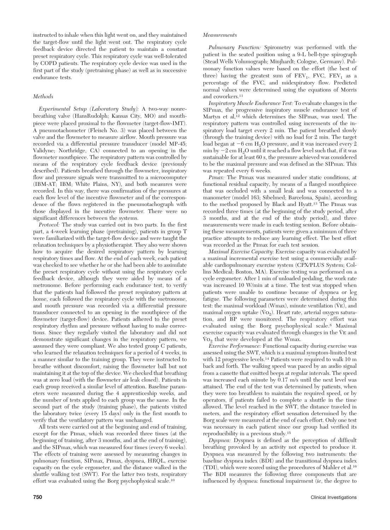instructed to inhale when this light went on, and they maintained the target-flow until the light went out. The respiratory cycle feedback device directed the patient to maintain a constant preset respiratory cycle. This respiratory cycle was well-tolerated by COPD patients. The respiratory cycle device was used in the first part of the study (pretraining phase) as well as in successive endurance tests.

# *Methods*

*Experimental Setup (Laboratory Study):* A two-way nonrebreathing valve (HansRudolph; Kansas City, MO) and mouthpiece were placed proximal to the flowmeter (target-flow-IMT). A pneumotachometer (Fleisch No. 3) was placed between the valve and the flowmeter to measure airflow. Mouth pressure was recorded via a differential pressure transducer (model MP-45; Validyne; Northridge, CA) connected to an opening in the flowmeter mouthpiece. The respiratory pattern was controlled by means of the respiratory cycle feedback device (previously described). Patients breathed through the flowmeter, inspiratory flow and pressure signals were transmitted to a microcomputer (IBM-AT; IBM; White Plains, NY), and both measures were recorded. In this way, there was confirmation of the pressures at each flow level of the incentive flowmeter and of the correspondence of the flows registered in the pneumotachograph with those displayed in the incentive flowmeter. There were no significant differences between the systems.

*Protocol:* The study was carried out in two parts. In the first part, a 4-week learning phase (pretraining), patients in group T were familiarized with the target-flow device and were taught the relaxation techniques by a physiotherapist. They also were shown how to acquire the desired respiratory pattern by learning respiratory times and flow. At the end of each week, each patient was checked to see whether he or she had been able to assimilate the preset respiratory cycle without using the respiratory cycle feedback device, although they were aided by means of a metronome. Before performing each endurance test, to verify that the patients had followed the preset respiratory pattern at home, each followed the respiratory cycle with the metronome, and mouth pressure was recorded via a differential pressure transducer connected to an opening in the mouthpiece of the flowmeter (target-flow) device. Patients adhered to the preset respiratory rhythm and pressure without having to make corrections. Since they regularly visited the laboratory and did not demonstrate significant changes in the respiratory pattern, we assumed they were compliant. We also tested group C patients, who learned the relaxation techniques for a period of 4 weeks, in a manner similar to the training group. They were instructed to breathe without discomfort, raising the flowmeter ball but not maintaining it at the top of the device. We checked that breathing was at zero load (with the flowmeter air leak closed). Patients in each group received a similar level of attention. Baseline parameters were measured during the 4 apprenticeship weeks, and the number of tests applied to each group was the same. In the second part of the study (training phase), the patients visited the laboratory twice (every 15 days) only in the first month to verify that the ventilatory pattern was unchanged.

All tests were carried out at the beginning and end of training, except for the Pimax, which was recorded three times (at the beginning of training, after 3 months, and at the end of training), and the SIPmax, which was measured four times (every 6 weeks). The effects of training were assessed by measuring changes in pulmonary function, SIPmax, Pimax, dyspnea, HRQL, exercise capacity on the cycle ergometer, and the distance walked in the shuttle walking test (SWT). For the latter two tests, respiratory effort was evaluated using the Borg psychophysical scale.10

### *Measurements*

*Pulmonary Function:* Spirometry was performed with the patient in the seated position using a 9-L bell-type spirograph (Stead Wells Volumograph; Minjhardt; Cologne, Germany). Pulmonary function values were based on the effort (the best of three) having the greatest sum of  $FEV_1$ ,  $FVC$ ,  $FEV_1$  as a percentage of the FVC, and midexpiratory flow. Predicted normal values were determined using the equations of Morris and coworkers.<sup>11</sup>

*Inspiratory Muscle Endurance Test:* To evaluate changes in the SIPmax, the progressive inspiratory muscle endurance test of Martyn et al,<sup>12</sup> which determines the SIPmax, was used. The respiratory pattern was controlled using increments of the inspiratory load target every 2 min. The patient breathed slowly (through the training device) with no load for 2 min. The target load began at  $-6$  cm  $H_2O$  pressure, and it was increased every 2 min by  $-2$  cm H<sub>2</sub>O until it reached a flow level such that, if it was sustainable for at least 60 s, the pressure achieved was considered to be the maximal pressure and was defined as the SIPmax. This was repeated every 6 weeks.

*PImax:* The Pimax was measured under static conditions, at functional residual capacity, by means of a flanged mouthpiece that was occluded with a small leak and was connected to a manometer (model 163; Sibelmed; Barcelona, Spain), according to the method proposed by Black and Hyatt.13 The Pimax was recorded three times (at the beginning of the study period, after 3 months, and at the end of the study period), and three measurements were made in each testing session. Before obtaining these measurements, patients were given a minimum of three practice attempts to reduce any learning effect. The best effort was recorded as the Pimax for each test session.

*Maximal Exercise Capacity:* Exercise capacity was evaluated by a maximal incremental exercise test using a commercially available cardiopulmonary exercise system (CPX/PLUS System; Collins Medical; Boston, MA). Exercise testing was performed on a cycle ergometer. After 1 min of unloaded pedaling, the work rate was increased 10 W/min at a time. The test was stopped when patients were unable to continue because of dyspnea or leg fatigue. The following parameters were determined during this test: the maximal workload (Wmax), minute ventilation  $(\dot{V}E)$ , and maximal oxygen uptake  $(\dot{V}o_2)$ . Heart rate, arterial oxygen saturation, and BP were monitored. The respiratory effort was evaluated using the Borg psychophysical scale.8 Maximal exercise capacity was evaluated through changes in the VE and  $\rm\dot{V}o_{2}$  that were developed at the Wmax.

*Exercise Performance:* Functional capacity during exercise was assessed using the SWT, which is a maximal symptom-limited test with 12 progressive levels.<sup>14</sup> Patients were required to walk 10 m back and forth. The walking speed was paced by an audio signal from a cassette that emitted beeps at regular intervals. The speed was increased each minute by  $0.17 \text{ m/s}$  until the next level was attained. The end of the test was determined by patients, when they were too breathless to maintain the required speed, or by operators, if patients failed to complete a shuttle in the time allowed. The level reached in the SWT, the distance traveled in meters, and the respiratory effort sensation determined by the Borg scale were measured at the end of each effort. Only one test was necessary in each patient since our group had verified its reproducibility in a previous study.15

*Dyspnea:* Dyspnea is defined as the perception of difficult breathing provoked by an activity not expected to produce it. Dyspnea was measured by the following two instruments: the baseline dyspnea index (BDI) and the transitional dyspnea index (TDI), which were scored using the procedures of Mahler et al.16 The BDI measures the following three components that are influenced by dyspnea: functional impairment (*ie*, the degree to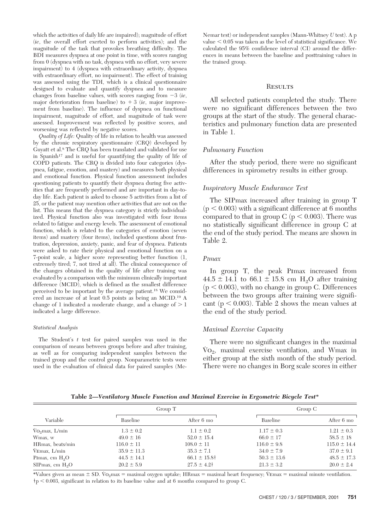which the activities of daily life are impaired); magnitude of effort (*ie*, the overall effort exerted to perform activities); and the magnitude of the task that provokes breathing difficulty. The BDI measures dyspnea at one point in time, with scores ranging from 0 (dyspnea with no task, dyspnea with no effort, very severe impairment) to 4 (dyspnea with extraordinary activity, dyspnea with extraordinary effort, no impairment). The effect of training was assessed using the TDI, which is a clinical questionnaire designed to evaluate and quantify dyspnea and to measure changes from baseline values, with scores ranging from  $-3$  (*ie*, major deterioration from baseline) to  $+3$  (*ie*, major improvement from baseline). The influence of dyspnea on functional impairment, magnitude of effort, and magnitude of task were assessed. Improvement was reflected by positive scores, and worsening was reflected by negative scores.

*Quality of Life:* Quality of life in relation to health was assessed by the chronic respiratory questionnaire (CRQ) developed by Guyatt et al.8 The CRQ has been translated and validated for use in Spanish<sup>17</sup> and is useful for quantifying the quality of life of COPD patients. The CRQ is divided into four categories (dyspnea, fatigue, emotion, and mastery) and measures both physical and emotional function. Physical function assessment includes questioning patients to quantify their dyspnea during five activities that are frequently performed and are important in day-today life. Each patient is asked to choose 5 activities from a list of 25, or the patient may mention other activities that are not on the list. This means that the dyspnea category is strictly individualized. Physical function also was investigated with four items related to fatigue and energy levels. The assessment of emotional function, which is related to the categories of emotion (seven items) and mastery (four items), included questions about frustration, depression, anxiety, panic, and fear of dyspnea. Patients were asked to rate their physical and emotional function on a 7-point scale, a higher score representing better function (1, extremely tired; 7, not tired at all). The clinical consequence of the changes obtained in the quality of life after training was evaluated by a comparison with the minimum clinically important difference (MCID), which is defined as the smallest difference perceived to be important by the average patient.18 We considered an increase of at least 0.5 points as being an MCID.19 A change of 1 indicated a moderate change, and a change of  $> 1$ indicated a large difference.

### *Statistical Analysis*

The Student's *t* test for paired samples was used in the comparison of means between groups before and after training, as well as for comparing independent samples between the trained group and the control group. Nonparametric tests were used in the evaluation of clinical data for paired samples (McNemar test) or independent samples (Mann-Whitney *U* test). A p value  $<$  0.05 was taken as the level of statistical significance. We calculated the 95% confidence interval (CI) around the differences in means between the baseline and posttraining values in the trained group.

# **RESULTS**

All selected patients completed the study. There were no significant differences between the two groups at the start of the study. The general characteristics and pulmonary function data are presented in Table 1.

# *Pulmonary Function*

After the study period, there were no significant differences in spirometry results in either group.

# *Inspiratory Muscle Endurance Test*

The SIPmax increased after training in group T  $(p < 0.003)$  with a significant difference at 6 months compared to that in group C ( $p < 0.003$ ). There was no statistically significant difference in group C at the end of the study period. The means are shown in Table 2.

# *PImax*

In group T, the peak Pimax increased from  $44.5 \pm 14.1$  to 66.1  $\pm$  15.8 cm H<sub>2</sub>O after training  $(p < 0.003)$ , with no change in group C. Differences between the two groups after training were significant ( $p < 0.003$ ). Table 2 shows the mean values at the end of the study period.

# *Maximal Exercise Capacity*

There were no significant changes in the maximal  $\rm Vo_{2}$ , maximal exercise ventilation, and Wmax in either group at the sixth month of the study period. There were no changes in Borg scale scores in either

| Table 2—Ventilatory Muscle Function and Maximal Exercise in Ergometric Bicycle Test* |  |  |  |  |  |
|--------------------------------------------------------------------------------------|--|--|--|--|--|
|                                                                                      |  |  |  |  |  |

|                                       |                 | Group T           |                 | Group C          |
|---------------------------------------|-----------------|-------------------|-----------------|------------------|
| Variable                              | Baseline        | After 6 mo        | Baseline        | After 6 mo       |
| $\rm\dot{V}O_2$ max, $\rm\dot{L}/min$ | $1.3 \pm 0.2$   | $1.1 \pm 0.2$     | $1.17 \pm 0.3$  | $1.21 \pm 0.3$   |
| Wmax, w                               | $49.0 \pm 16$   | $52.0 \pm 15.4$   | $66.0 \pm 17$   | $58.5 \pm 18$    |
| HRmax, beats/min                      | $116.0 \pm 11$  | $108.0 \pm 11$    | $116.0 \pm 9.8$ | $115.0 \pm 14.4$ |
| VEmax, L/min                          | $35.9 \pm 11.3$ | $35.3 \pm 7.1$    | $34.0 \pm 7.9$  | $37.0 \pm 9.1$   |
| Pimax, cm $H_2O$                      | $44.5 \pm 14.1$ | $66.1 \pm 15.8$ † | $50.3 \pm 13.6$ | $48.5 \pm 17.3$  |
| SIPmax, cm $H2O$                      | $20.2 \pm 5.9$  | $27.5 \pm 4.2$    | $21.3 \pm 3.2$  | $20.0 \pm 2.4$   |

\*Values given as mean  $\pm$  SD. Vo<sub>2</sub>max = maximal oxygen uptake; HRmax = maximal heart frequency; VEmax = maximal minute ventilation.  $\dagger$ p < 0.003, significant in relation to its baseline value and at 6 months compared to group C.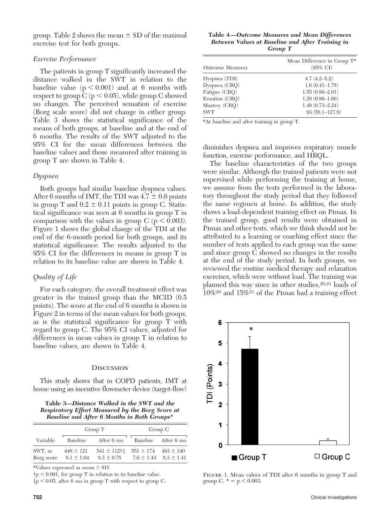group. Table 2 shows the mean  $\pm$  SD of the maximal exercise test for both groups.

# *Exercise Performance*

The patients in group T significantly increased the distance walked in the SWT in relation to the baseline value  $(p < 0.001)$  and at 6 months with respect to group C ( $p < 0.05$ ), while group C showed no changes. The perceived sensation of exercise (Borg scale score) did not change in either group. Table 3 shows the statistical significance of the means of both groups, at baseline and at the end of 6 months. The results of the SWT adjusted to the 95% CI for the mean differences between the baseline values and those measured after training in group T are shown in Table 4.

# *Dyspnea*

Both groups had similar baseline dyspnea values. After 6 months of IMT, the TDI was  $4.7 \pm 0.6$  points in group T and  $0.2 \pm 0.11$  points in group C. Statistical significance was seen at 6 months in group T in comparison with the values in group C ( $p < 0.003$ ). Figure 1 shows the global change of the TDI at the end of the 6-month period for both groups, and its statistical significance. The results adjusted to the 95% CI for the differences in means in group T in relation to its baseline value are shown in Table 4.

# *Quality of Life*

For each category, the overall treatment effect was greater in the trained group than the MCID (0.5 points). The score at the end of 6 months is shown in Figure 2 in terms of the mean values for both groups, as is the statistical significance for group T with regard to group C. The 95% CI values, adjusted for differences in mean values in group T in relation to baseline values, are shown in Table 4.

# **DISCUSSION**

This study shows that in COPD patients, IMT at home using an incentive flowmeter device (target-flow)

**Table 3—***Distance Walked in the SWT and the Respiratory Effort Measured by the Borg Score at Baseline and After 6 Months in Both Groups*\*

|                      |                                 | Group T                                                          |                               | Group C             |
|----------------------|---------------------------------|------------------------------------------------------------------|-------------------------------|---------------------|
| Variable             | Baseline                        | After 6 mo                                                       |                               | Baseline After 6 mo |
| SWT, m<br>Borg score | $448 \pm 121$<br>$8.1 \pm 1.04$ | $541 \pm 112$ $1\pm 551 \pm 174$ $493 \pm 140$<br>$8.3 \pm 0.78$ | $7.6 \pm 1.43$ $8.3 \pm 1.41$ |                     |

\*Values expressed as mean  $\pm$  SD.

 $\uparrow$  p < 0.001, for group T in relation to its baseline value.

 $\sharp p < 0.05$ , after 6 mo in group T with respect to group C.

**Table 4—***Outcome Measures and Mean Differences Between Values at Baseline and After Training in Group T*

| Mean Difference in Group T*<br>$(95\% \text{ CI})$ |
|----------------------------------------------------|
| $4.7(4.2 - 5.2)$                                   |
| $1.6(0.41 - 1.78)$                                 |
| $1.55(0.99 - 2.01)$                                |
| $1.28(0.90 - 1.66)$                                |
| $1.48(0.73 - 2.24)$                                |
| $93(58.1 - 127.9)$                                 |
|                                                    |

\*At baseline and after training in group T.

diminishes dyspnea and improves respiratory muscle function, exercise performance, and HRQL.

The baseline characteristics of the two groups were similar. Although the trained patients were not supervised while performing the training at home, we assume from the tests performed in the laboratory throughout the study period that they followed the same regimen at home. In addition, the study shows a load-dependent training effect on Pimax. In the trained group, good results were obtained in Pimax and other tests, which we think should not be attributed to a learning or coaching effect since the number of tests applied to each group was the same and since group C showed no changes in the results at the end of the study period. In both groups, we reviewed the routine medical therapy and relaxation exercises, which were without load. The training was planned this way since in other studies,<sup>20,21</sup> loads of  $10\%$ <sup>20</sup> and  $15\%$ <sup>21</sup> of the PImax had a training effect



FIGURE 1. Mean values of TDI after 6 months in group T and group C.  $* = p < 0.003$ .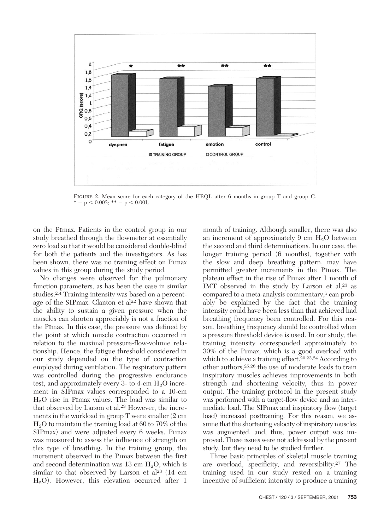

FIGURE 2. Mean score for each category of the HRQL after 6 months in group T and group C.  $* = p < 0.003$ ;  $** = p < 0.001$ .

on the Pimax. Patients in the control group in our study breathed through the flowmeter at essentially zero load so that it would be considered double-blind for both the patients and the investigators. As has been shown, there was no training effect on Pimax values in this group during the study period.

No changes were observed for the pulmonary function parameters, as has been the case in similar studies.2,4 Training intensity was based on a percentage of the SIPmax. Clanton et al<sup>22</sup> have shown that the ability to sustain a given pressure when the muscles can shorten appreciably is not a fraction of the Pimax. In this case, the pressure was defined by the point at which muscle contraction occurred in relation to the maximal pressure-flow-volume relationship. Hence, the fatigue threshold considered in our study depended on the type of contraction employed during ventilation. The respiratory pattern was controlled during the progressive endurance test, and approximately every 3- to 4-cm  $H_2O$  increment in SIPmax values corresponded to a 10-cm  $H<sub>2</sub>O$  rise in PImax values. The load was similar to that observed by Larson et al.23 However, the increments in the workload in group T were smaller (2 cm  $H<sub>2</sub>O$  to maintain the training load at 60 to 70% of the SIPmax) and were adjusted every 6 weeks. Pimax was measured to assess the influence of strength on this type of breathing. In the training group, the increment observed in the Pimax between the first and second determination was 13 cm  $H_2O$ , which is similar to that observed by Larson et al<sup>23</sup> (14 cm  $H<sub>2</sub>O$ ). However, this elevation occurred after 1

month of training. Although smaller, there was also an increment of approximately 9 cm  $H_2O$  between the second and third determinations. In our case, the longer training period (6 months), together with the slow and deep breathing pattern, may have permitted greater increments in the Pimax. The plateau effect in the rise of Pimax after 1 month of IMT observed in the study by Larson et al, $23$  as compared to a meta-analysis commentary,5 can probably be explained by the fact that the training intensity could have been less than that achieved had breathing frequency been controlled. For this reason, breathing frequency should be controlled when a pressure threshold device is used. In our study, the training intensity corresponded approximately to 30% of the Pimax, which is a good overload with which to achieve a training effect.<sup>20,23,24</sup> According to other authors,25,26 the use of moderate loads to train inspiratory muscles achieves improvements in both strength and shortening velocity, thus in power output. The training protocol in the present study was performed with a target-flow device and an intermediate load. The SIPmax and inspiratory flow (target load) increased posttraining. For this reason, we assume that the shortening velocity of inspiratory muscles was augmented, and, thus, power output was improved. These issues were not addressed by the present study, but they need to be studied further.

Three basic principles of skeletal muscle training are overload, specificity, and reversibility.27 The training used in our study rested on a training incentive of sufficient intensity to produce a training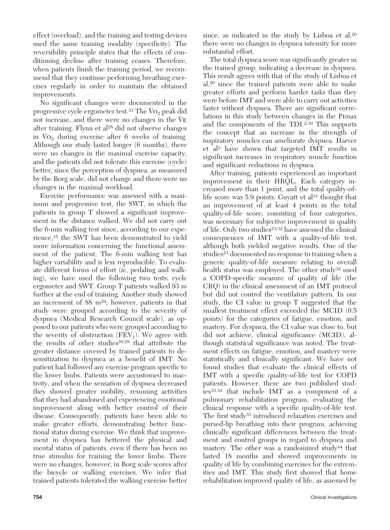effect (overload), and the training and testing devices used the same training modality (specificity). The reversibility principle states that the effects of conditioning decline after training ceases. Therefore, when patients finish the training period, we recommend that they continue performing breathing exercises regularly in order to maintain the obtained improvements.

No significant changes were documented in the progressive cycle ergometer test.<sup>21</sup> The Vo<sub>2</sub> peak did not increase, and there were no changes in the  $\dot{V}$  $E$ after training. Flynn et al28 did not observe changes in  $\mathrm{Vo}_2$  during exercise after 6 weeks of training. Although our study lasted longer (6 months), there were no changes in the maximal exercise capacity, and the patients did not tolerate this exercise (cycle) better, since the perception of dyspnea, as measured by the Borg scale, did not change and there were no changes in the maximal workload.

Exercise performance was assessed with a maximum and progressive test, the SWT, in which the patients in group T showed a significant improvement in the distance walked. We did not carry out the 6-min walking test since, according to our experience,15 the SWT has been demonstrated to yield more information concerning the functional assessment of the patient. The 6-min walking test has higher variability and is less reproducible. To evaluate different forms of effort (*ie*, pedaling and walking), we have used the following two tests: cycle ergometer and SWT. Group T patients walked 93 m further at the end of training. Another study showed an increment of 88 m29; however, patients in that study were grouped according to the severity of dyspnea (Medical Research Council scale), as opposed to our patients who were grouped according to the severity of obstruction  $(FEV_1)$ . We agree with the results of other studies20,29 that attribute the greater distance covered by trained patients to desensitization to dyspnea as a benefit of IMT. No patient had followed any exercise program specific to the lower limbs. Patients were accustomed to inactivity, and when the sensation of dyspnea decreased they showed greater mobility, resuming activities that they had abandoned and experiencing emotional improvement along with better control of their disease. Consequently, patients have been able to make greater efforts, demonstrating better functional status during exercise. We think that improvement in dyspnea has bettered the physical and mental status of patients, even if there has been no true stimulus for training the lower limbs. There were no changes, however, in Borg scale scores after the bicycle or walking exercises. We infer that trained patients tolerated the walking exercise better

since, as indicated in the study by Lisboa et al,<sup>20</sup> there were no changes in dyspnea intensity for more substantial effort.

The total dyspnea score was significantly greater in the trained group, indicating a decrease in dyspnea. This result agrees with that of the study of Lisboa et al,20 since the trained patients were able to make greater efforts and perform harder tasks than they were before IMT and were able to carry out activities faster without dyspnea. There are significant correlations in this study between changes in the Pimax and the components of the TDI.2,30 This supports the concept that an increase in the strength of inspiratory muscles can ameliorate dyspnea. Harver et al2 have shown that targeted IMT results in significant increases in respiratory muscle function and significant reductions in dyspnea.

After training, patients experienced an important improvement in their HRQL. Each category increased more than 1 point, and the total quality-oflife score was  $5.9$  points. Guyatt et al<sup>31</sup> thought that an improvement of at least 4 points in the total quality-of-life score, consisting of four categories, was necessary for subjective improvement in quality of life. Only two studies<sup>23,32</sup> have assessed the clinical consequences of IMT with a quality-of-life test, although both yielded negative results. One of the studies<sup>23</sup> documented no response to training when a generic quality-of-life measure relating to overall health status was employed. The other study<sup>32</sup> used a COPD-specific measure of quality of life (the CRQ) in the clinical assessment of an IMT protocol but did not control the ventilatory pattern. In our study, the CI value in group T suggested that the smallest treatment effect exceeded the MCID (0.5 points) for the categories of fatigue, emotion, and mastery. For dyspnea, the CI value was close to, but did not achieve, clinical significance (MCID), although statistical significance was noted. The treatment effects on fatigue, emotion, and mastery were statistically and clinically significant. We have not found studies that evaluate the clinical effects of IMT with a specific quality-of-life test for COPD patients. However, there are two published studies33,34 that include IMT as a component of a pulmonary rehabilitation program, evaluating the clinical response with a specific quality-of-life test. The first study<sup>33</sup> introduced relaxation exercises and pursed-lip breathing into their program, achieving clinically significant differences between the treatment and control groups in regard to dyspnea and mastery. The other was a randomized study<sup>34</sup> that lasted 18 months and showed improvements in quality of life by combining exercises for the extremities and IMT. This study first showed that home rehabilitation improved quality of life, as assessed by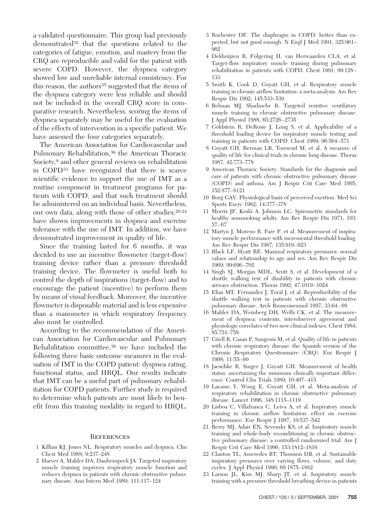a validated questionnaire. This group had previously demonstrated<sup>35</sup> that the questions related to the categories of fatigue, emotion, and mastery from the CRQ are reproducible and valid for the patient with severe COPD. However, the dyspnea category showed low and unreliable internal consistency. For this reason, the authors<sup>35</sup> suggested that the items of the dyspnea category were less reliable and should not be included in the overall CRQ score in comparative research. Nevertheless, scoring the items of dyspnea separately may be useful for the evaluation of the effects of intervention in a specific patient. We have assessed the four categories separately.

The American Association for Cardiovascular and Pulmonary Rehabilitation,36 the American Thoracic Society,9 and other general reviews on rehabilitation in COPD33 have recognized that there is scarce scientific evidence to support the use of IMT as a routine component in treatment programs for patients with COPD, and that such treatment should be administered on an individual basis. Nevertheless, our own data, along with those of other studies,  $20,24$ have shown improvements in dyspnea and exercise tolerance with the use of IMT. In addition, we have demonstrated improvement in quality of life.

Since the training lasted for 6 months, it was decided to use an incentive flowmeter (target-flow) training device rather than a pressure threshold training device. The flowmeter is useful both to control the depth of inspirations (target-flow) and to encourage the patient (incentive) to perform them by means of visual feedback. Moreover, the incentive flowmeter is disposable material and is less expensive than a manometer in which respiratory frequency also must be controlled.

According to the recommendation of the American Association for Cardiovascular and Pulmonary Rehabilitation committee,36 we have included the following three basic outcome measures in the evaluation of IMT in the COPD patient: dyspnea rating, functional status, and HRQL. Our results indicate that IMT can be a useful part of pulmonary rehabilitation for COPD patients. Further study is required to determine which patients are most likely to benefit from this training modality in regard to HRQL.

# **REFERENCES**

- 1 Killian KJ, Jones NL. Respiratory muscles and dyspnea. Clin Chest Med 1988; 9:237–248
- 2 Harver A, Mahler DA, Daubenspeck JA. Targeted inspiratory muscle training improves respiratory muscle function and reduces dyspnea in patients with chronic obstructive pulmonary disease. Ann Intern Med 1989; 111:117–124
- 3 Rochester DF. The diaphragm in COPD: better than expected, but not good enough. N Engl J Med 1991; 325:961– 962
- 4 Dekhuijzen R, Folgering H, van Herwaarden CLA, et al. Target-flow inspiratory muscle training during pulmonary rehabilitation in patients with COPD. Chest 1991; 99:128– 133
- 5 Smith K, Cook D, Guyatt GH, et al. Respiratory muscle training in chronic airflow limitation: a meta-analysis. Am Rev Respir Dis 1992; 145:533–539
- 6 Belman MJ, Shadmehr R. Targeted resistive ventilatory muscle training in chronic obstructive pulmonary disease. J Appl Physiol 1988; 65:2726–2735
- 7 Goldstein R, DeRosie J, Long S, et al. Applicability of a threshold loading device for inspiratory muscle testing and training in patients with COPD. Chest 1989; 96:564–571
- 8 Guyatt GH, Berman LB, Towsend M, et al. A measure of quality of life for clinical trials in chronic lung disease. Thorax 1987; 42:773–778
- 9 American Thoracic Society. Standards for the diagnosis and care of patients with chronic obstructive pulmonary disease (COPD) and asthma. Am J Respir Crit Care Med 1995; 152:S77–S121
- 10 Borg GAV. Physiological basis of perceived exertion. Med Sci Sports Exerc 1982; 14:377–378
- 11 Morris JF, Koski A, Johnson LC. Spirometric standards for healthy nonsmoking adults. Am Rev Respir Dis 1971; 103: 57–67
- 12 Martyn J, Moreno R, Pare P, et al. Measurement of inspiratory muscle performance with incremental threshold loading. Am Rev Respir Dis 1987; 135:919–923
- 13 Black LF, Hyatt RE. Maximal respiratory pressures: normal values and relationship to age and sex. Am Rev Respir Dis 1969; 99:696–702
- 14 Singh SJ, Morgan MDL, Scott S, et al. Development of a shuttle walking test of disability in patients with chronic airways obstruction. Thorax 1992; 47:1019–1024
- 15 Elias MT, Fernandez J, Toral J, et al. Reproducibility of the shuttle walking test in patients with chronic obstructive pulmonary disease. Arch Bronconeumol 1997; 33:64–68
- 16 Mahler DA, Weinberg DH, Wells CK, et al. The measurement of dyspnea: contents, interobserver agreement and physiologic correlates of two new clinical indexes. Chest 1984; 85:751–758
- 17 Güell R, Casan P, Sangenis M, et al. Quality of life in patients with chronic respiratory disease: the Spanish version of the Chronic Respiratory Questionnaire (CRQ). Eur Respir J 1998; 11:55–60
- 18 Jaeschke R, Singer J, Guyatt GH. Measurement of health status: ascertaining the minimum clinically important difference. Control Clin Trials 1989; 10:407–415
- 19 Lacasse Y, Wong E, Guyatt GH, et al. Meta-analysis of respiratory rehabilitation in chronic obstructive pulmonary disease. Lancet 1996; 348:1115–1119
- 20 Lisboa C, Villafranca C, Leiva A, et al. Inspiratory muscle training in chronic airflow limitation: effect on exercise performance. Eur Respir J 1997; 10:537–542
- 21 Berry MJ, Adair EN, Sevensky KS, et al. Inspiratory muscle training and whole-body reconditioning in chronic obstructive pulmonary disease: a controlled randomized trial. Am J Respir Crit Care Med 1996; 153:1812–1816
- 22 Clanton TL, Ameredes BT, Thomson DB, et al. Sustainable inspiratory pressures over varying flows, volume, and duty cycles. J Appl Physiol 1990; 69:1875–1882
- 23 Larson JL, Kim MJ, Sharp JT, et al. Inspiratory muscle training with a pressure threshold breathing device in patients